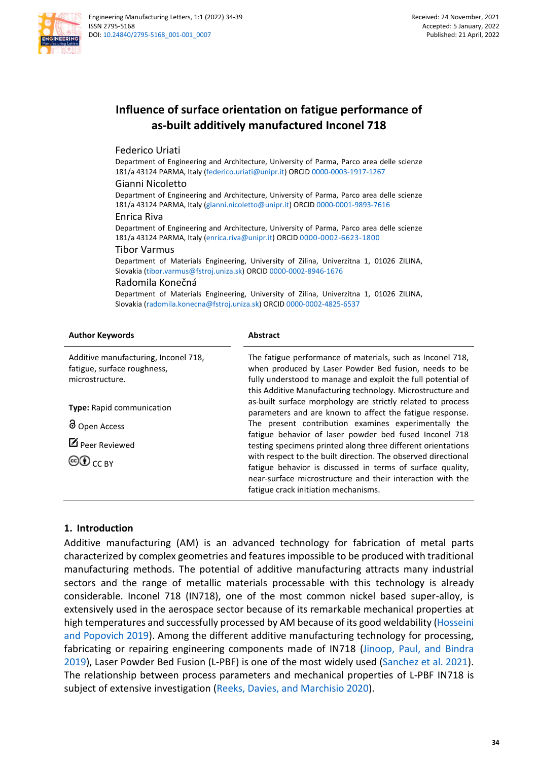

# **Influence of surface orientation on fatigue performance of as-built additively manufactured Inconel 718**

Federico Uriati

Department of Engineering and Architecture, University of Parma, Parco area delle scienze 181/a 43124 PARMA, Italy [\(federico.uriati@unipr.it\)](mailto:federico.uriati@unipr.it) ORCI[D 0000-0003-1917-1267](https://orcid.org/0000-0003-1917-1267)

#### Gianni Nicoletto

Department of Engineering and Architecture, University of Parma, Parco area delle scienze 181/a 43124 PARMA, Italy [\(gianni.nicoletto@unipr.it\)](mailto:gianni.nicoletto@unipr.it) ORCI[D 0000-0001-9893-7616](https://orcid.org/0000-0001-9893-7616)

#### Enrica Riva

Department of Engineering and Architecture, University of Parma, Parco area delle scienze 181/a 43124 PARMA, Italy [\(enrica.riva@unipr.it\)](mailto:enrica.riva@unipr.it) ORCID [0000-0002-6623-1800](https://orcid.org/0000-0002-6623-1800)

#### Tibor Varmus

Department of Materials Engineering, University of Zilina, Univerzitna 1, 01026 ZILINA, Slovakia [\(tibor.varmus@fstroj.uniza.sk\)](mailto:tibor.varmus@fstroj.uniza.sk) ORCID [0000-0002-8946-1676](https://orcid.org/0000-0002-8946-1676)

#### Radomila Konečná

Department of Materials Engineering, University of Zilina, Univerzitna 1, 01026 ZILINA, Slovakia [\(radomila.konecna@fstroj.uniza.sk\)](mailto:radomila.konecna@fstroj.uniza.sk) ORCID [0000-0002-4825-6537](https://orcid.org/0000-0002-4825-6537)

| <b>Author Keywords</b>                                                                 | <b>Abstract</b>                                                                                                                                                                                                                                                                                                                                                                                                                                                                                                                                |
|----------------------------------------------------------------------------------------|------------------------------------------------------------------------------------------------------------------------------------------------------------------------------------------------------------------------------------------------------------------------------------------------------------------------------------------------------------------------------------------------------------------------------------------------------------------------------------------------------------------------------------------------|
| Additive manufacturing, Inconel 718,<br>fatigue, surface roughness,<br>microstructure. | The fatigue performance of materials, such as Inconel 718,<br>when produced by Laser Powder Bed fusion, needs to be<br>fully understood to manage and exploit the full potential of<br>this Additive Manufacturing technology. Microstructure and                                                                                                                                                                                                                                                                                              |
| Type: Rapid communication<br>d Open Access<br>$\mathbb Z$ Peer Reviewed<br>©O cc вү    | as-built surface morphology are strictly related to process<br>parameters and are known to affect the fatigue response.<br>The present contribution examines experimentally the<br>fatigue behavior of laser powder bed fused Inconel 718<br>testing specimens printed along three different orientations<br>with respect to the built direction. The observed directional<br>fatigue behavior is discussed in terms of surface quality,<br>near-surface microstructure and their interaction with the<br>fatigue crack initiation mechanisms. |

### **1. Introduction**

Additive manufacturing (AM) is an advanced technology for fabrication of metal parts characterized by complex geometries and features impossible to be produced with traditional manufacturing methods. The potential of additive manufacturing attracts many industrial sectors and the range of metallic materials processable with this technology is already considerable. Inconel 718 (IN718), one of the most common nickel based super-alloy, is extensively used in the aerospace sector because of its remarkable mechanical properties at high temperatures and successfully processed by AM because of its good weldability [\(Hosseini](#page-4-0)  [and Popovich 2019\)](#page-4-0). Among the different additive manufacturing technology for processing, fabricating or repairing engineering components made of IN718 [\(Jinoop, Paul, and Bindra](#page-4-1)  [2019\)](#page-4-1), Laser Powder Bed Fusion (L-PBF) is one of the most widely used [\(Sanchez et al. 2021\)](#page-4-2). The relationship between process parameters and mechanical properties of L-PBF IN718 is subject of extensive investigation [\(Reeks, Davies, and](#page-4-3) Marchisio 2020).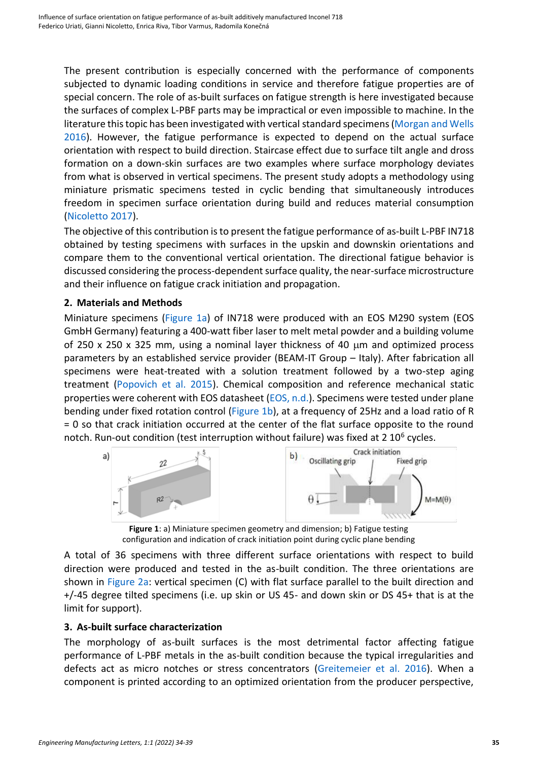The present contribution is especially concerned with the performance of components subjected to dynamic loading conditions in service and therefore fatigue properties are of special concern. The role of as-built surfaces on fatigue strength is here investigated because the surfaces of complex L-PBF parts may be impractical or even impossible to machine. In the literature this topic has been investigated with vertical standard specimens[\(Morgan and Wells](#page-4-4)  [2016\)](#page-4-4). However, the fatigue performance is expected to depend on the actual surface orientation with respect to build direction. Staircase effect due to surface tilt angle and dross formation on a down-skin surfaces are two examples where surface morphology deviates from what is observed in vertical specimens. The present study adopts a methodology using miniature prismatic specimens tested in cyclic bending that simultaneously introduces freedom in specimen surface orientation during build and reduces material consumption [\(Nicoletto 2017\)](#page-4-5).

The objective of this contribution is to present the fatigue performance of as-built L-PBF IN718 obtained by testing specimens with surfaces in the upskin and downskin orientations and compare them to the conventional vertical orientation. The directional fatigue behavior is discussed considering the process-dependent surface quality, the near-surface microstructure and their influence on fatigue crack initiation and propagation.

## **2. Materials and Methods**

Miniature specimens [\(Figure 1a\)](#page-1-0) of IN718 were produced with an EOS M290 system (EOS GmbH Germany) featuring a 400-watt fiber laser to melt metal powder and a building volume of 250 x 250 x 325 mm, using a nominal layer thickness of 40  $\mu$ m and optimized process parameters by an established service provider (BEAM-IT Group – Italy). After fabrication all specimens were heat-treated with a solution treatment followed by a two-step aging treatment [\(Popovich et al. 2015\)](#page-4-6). Chemical composition and reference mechanical static properties were coherent with EOS datasheet [\(EOS, n.d.\)](#page-4-7). Specimens were tested under plane bending under fixed rotation control [\(Figure](#page-1-0) 1b), at a frequency of 25Hz and a load ratio of R = 0 so that crack initiation occurred at the center of the flat surface opposite to the round notch. Run-out condition (test interruption without failure) was fixed at 2 10<sup>6</sup> cycles.



**Figure 1**: a) Miniature specimen geometry and dimension; b) Fatigue testing configuration and indication of crack initiation point during cyclic plane bending

<span id="page-1-0"></span>A total of 36 specimens with three different surface orientations with respect to build direction were produced and tested in the as-built condition. The three orientations are shown in [Figure](#page-2-0) 2a: vertical specimen (C) with flat surface parallel to the built direction and +/-45 degree tilted specimens (i.e. up skin or US 45- and down skin or DS 45+ that is at the limit for support).

# **3. As-built surface characterization**

The morphology of as-built surfaces is the most detrimental factor affecting fatigue performance of L-PBF metals in the as-built condition because the typical irregularities and defects act as micro notches or stress concentrators [\(Greitemeier](#page-4-8) et al. 2016). When a component is printed according to an optimized orientation from the producer perspective,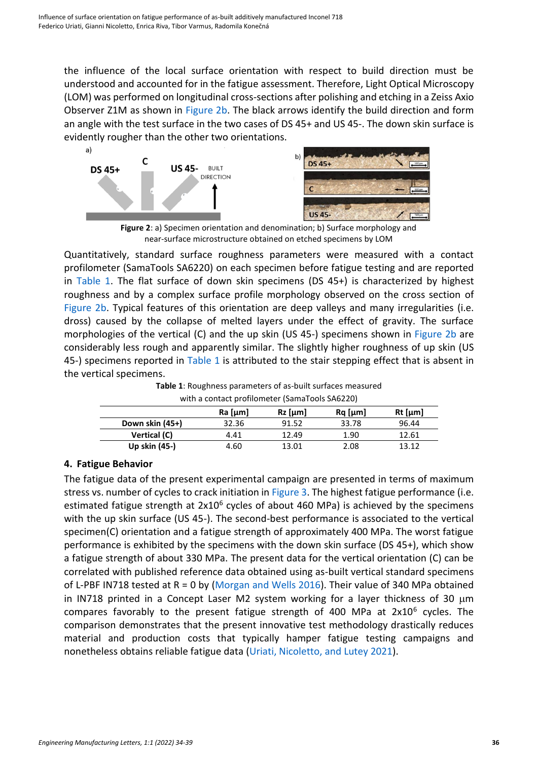the influence of the local surface orientation with respect to build direction must be understood and accounted for in the fatigue assessment. Therefore, Light Optical Microscopy (LOM) was performed on longitudinal cross-sections after polishing and etching in a Zeiss Axio Observer Z1M as shown in [Figure](#page-2-0) 2b. The black arrows identify the build direction and form an angle with the test surface in the two cases of DS 45+ and US 45-. The down skin surface is evidently rougher than the other two orientations.



**Figure 2**: a) Specimen orientation and denomination; b) Surface morphology and near-surface microstructure obtained on etched specimens by LOM

<span id="page-2-0"></span>Quantitatively, standard surface roughness parameters were measured with a contact profilometer (SamaTools SA6220) on each specimen before fatigue testing and are reported in [Table](#page-2-1) 1. The flat surface of down skin specimens (DS 45+) is characterized by highest roughness and by a complex surface profile morphology observed on the cross section of [Figure 2b.](#page-2-0) Typical features of this orientation are deep valleys and many irregularities (i.e. dross) caused by the collapse of melted layers under the effect of gravity. The surface morphologies of the vertical (C) and the up skin (US 45-) specimens shown in [Figure](#page-2-0) 2b are considerably less rough and apparently similar. The slightly higher roughness of up skin (US 45-) specimens reported in [Table](#page-2-1) 1 is attributed to the stair stepping effect that is absent in the vertical specimens.

| <b>Table 1:</b> Roughness parameters of as-built surfaces measured |
|--------------------------------------------------------------------|
| with a contact profilometer (SamaTools SA6220)                     |

<span id="page-2-1"></span>

| with a contact promonicter fournaroois or to EEOT |           |           |               |           |  |
|---------------------------------------------------|-----------|-----------|---------------|-----------|--|
|                                                   | $Ra$ [µm] | $Rz$ [µm] | $Ra$ [ $µm$ ] | $Rt$ [µm] |  |
| Down skin (45+)                                   | 32.36     | 91.52     | 33.78         | 96.44     |  |
| Vertical (C)                                      | 4.41      | 12.49     | 1.90          | 12.61     |  |
| Up skin (45-)                                     | 4.60      | 13.01     | 2.08          | 13.12     |  |

# **4. Fatigue Behavior**

The fatigue data of the present experimental campaign are presented in terms of maximum stress vs. number of cycles to crack initiation i[n Figure](#page-3-0) 3. The highest fatigue performance (i.e. estimated fatigue strength at 2x10<sup>6</sup> cycles of about 460 MPa) is achieved by the specimens with the up skin surface (US 45-). The second-best performance is associated to the vertical specimen(C) orientation and a fatigue strength of approximately 400 MPa. The worst fatigue performance is exhibited by the specimens with the down skin surface (DS 45+), which show a fatigue strength of about 330 MPa. The present data for the vertical orientation (C) can be correlated with published reference data obtained using as-built vertical standard specimens of L-PBF IN718 tested at R = 0 by [\(Morgan and Wells 2016\)](#page-4-4). Their value of 340 MPa obtained in IN718 printed in a Concept Laser M2 system working for a layer thickness of 30  $\mu$ m compares favorably to the present fatigue strength of 400 MPa at  $2x10^6$  cycles. The comparison demonstrates that the present innovative test methodology drastically reduces material and production costs that typically hamper fatigue testing campaigns and nonetheless obtains reliable fatigue data [\(Uriati, Nicoletto, and Lutey 2021\)](#page-5-0).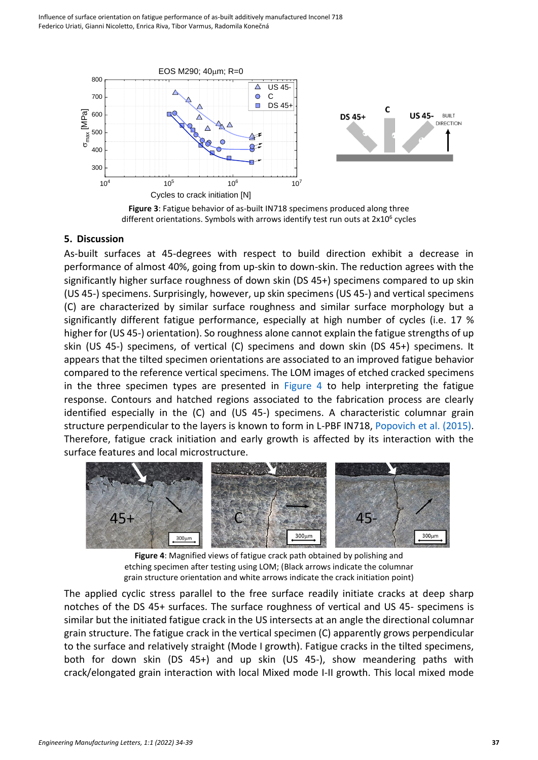





### <span id="page-3-0"></span>**5. Discussion**

As-built surfaces at 45-degrees with respect to build direction exhibit a decrease in performance of almost 40%, going from up-skin to down-skin. The reduction agrees with the significantly higher surface roughness of down skin (DS 45+) specimens compared to up skin (US 45-) specimens. Surprisingly, however, up skin specimens (US 45-) and vertical specimens (C) are characterized by similar surface roughness and similar surface morphology but a significantly different fatigue performance, especially at high number of cycles (i.e. 17 % higher for (US 45-) orientation). So roughness alone cannot explain the fatigue strengths of up skin (US 45-) specimens, of vertical (C) specimens and down skin (DS 45+) specimens. It appears that the tilted specimen orientations are associated to an improved fatigue behavior compared to the reference vertical specimens. The LOM images of etched cracked specimens in the three specimen types are presented in [Figure](#page-3-1) 4 to help interpreting the fatigue response. Contours and hatched regions associated to the fabrication process are clearly identified especially in the (C) and (US 45-) specimens. A characteristic columnar grain structure perpendicular to the layers is known to form in L-PBF IN718, [Popovich et al.](#page-4-6) (2015). Therefore, fatigue crack initiation and early growth is affected by its interaction with the surface features and local microstructure.



**Figure 4**: Magnified views of fatigue crack path obtained by polishing and etching specimen after testing using LOM; (Black arrows indicate the columnar grain structure orientation and white arrows indicate the crack initiation point)

<span id="page-3-1"></span>The applied cyclic stress parallel to the free surface readily initiate cracks at deep sharp notches of the DS 45+ surfaces. The surface roughness of vertical and US 45- specimens is similar but the initiated fatigue crack in the US intersects at an angle the directional columnar grain structure. The fatigue crack in the vertical specimen (C) apparently grows perpendicular to the surface and relatively straight (Mode I growth). Fatigue cracks in the tilted specimens, both for down skin (DS 45+) and up skin (US 45-), show meandering paths with crack/elongated grain interaction with local Mixed mode I-II growth. This local mixed mode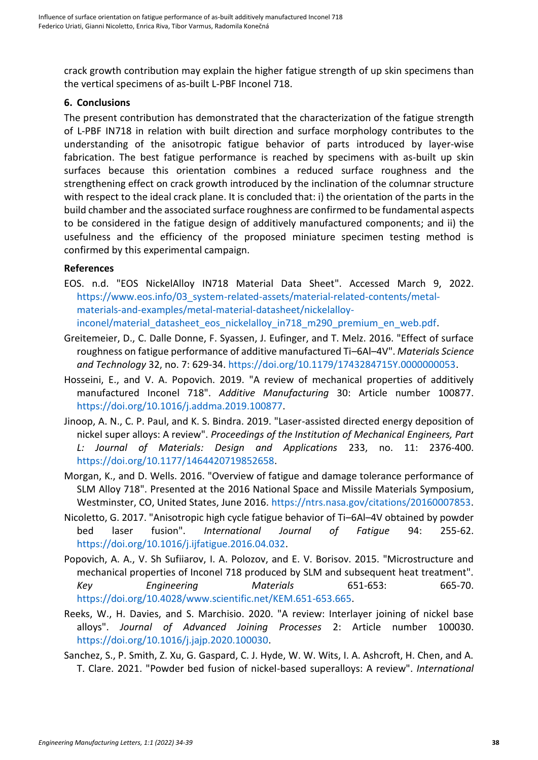crack growth contribution may explain the higher fatigue strength of up skin specimens than the vertical specimens of as-built L-PBF Inconel 718.

### **6. Conclusions**

The present contribution has demonstrated that the characterization of the fatigue strength of L-PBF IN718 in relation with built direction and surface morphology contributes to the understanding of the anisotropic fatigue behavior of parts introduced by layer-wise fabrication. The best fatigue performance is reached by specimens with as-built up skin surfaces because this orientation combines a reduced surface roughness and the strengthening effect on crack growth introduced by the inclination of the columnar structure with respect to the ideal crack plane. It is concluded that: i) the orientation of the parts in the build chamber and the associated surface roughness are confirmed to be fundamental aspects to be considered in the fatigue design of additively manufactured components; and ii) the usefulness and the efficiency of the proposed miniature specimen testing method is confirmed by this experimental campaign.

## **References**

- <span id="page-4-7"></span>EOS. n.d. "EOS NickelAlloy IN718 Material Data Sheet". Accessed March 9, 2022. https://www.eos.info/03\_system-related-assets/material-related-contents/metalmaterials-and-examples/metal-material-datasheet/nickelalloyinconel/material datasheet eos nickelalloy in718 m290 premium en web.pdf.
- <span id="page-4-8"></span>Greitemeier, D., C. Dalle Donne, F. Syassen, J. Eufinger, and T. Melz. 2016. "Effect of surface roughness on fatigue performance of additive manufactured Ti–6Al–4V". *Materials Science and Technology* 32, no. 7: 629-34. [https://doi.org/10.1179/1743284715Y.0000000053.](https://doi.org/10.1179/1743284715Y.0000000053)
- <span id="page-4-0"></span>Hosseini, E., and V. A. Popovich. 2019. "A review of mechanical properties of additively manufactured Inconel 718". *Additive Manufacturing* 30: Article number 100877. https://doi.org/10.1016/j.addma.2019.100877.
- <span id="page-4-1"></span>Jinoop, A. N., C. P. Paul, and K. S. Bindra. 2019. "Laser-assisted directed energy deposition of nickel super alloys: A review". *Proceedings of the Institution of Mechanical Engineers, Part L: Journal of Materials: Design and Applications* 233, no. 11: 2376-400. https://doi.org/10.1177/1464420719852658.
- <span id="page-4-4"></span>Morgan, K., and D. Wells. 2016. "Overview of fatigue and damage tolerance performance of SLM Alloy 718". Presented at the 2016 National Space and Missile Materials Symposium, Westminster, CO, United States, June 2016. [https://ntrs.nasa.gov/citations/20160007853.](https://ntrs.nasa.gov/citations/20160007853)
- <span id="page-4-5"></span>Nicoletto, G. 2017. "Anisotropic high cycle fatigue behavior of Ti–6Al–4V obtained by powder bed laser fusion". *International Journal of Fatigue* 94: 255-62. [https://doi.org/10.1016/j.ijfatigue.2016.04.032.](https://doi.org/10.1016/j.ijfatigue.2016.04.032)
- <span id="page-4-6"></span>Popovich, A. A., V. Sh Sufiiarov, I. A. Polozov, and E. V. Borisov. 2015. "Microstructure and mechanical properties of Inconel 718 produced by SLM and subsequent heat treatment". *Key Engineering Materials* 651-653: 665-70. [https://doi.org/10.4028/www.scientific.net/KEM.651-653.665.](https://doi.org/10.4028/www.scientific.net/KEM.651-653.665)
- <span id="page-4-3"></span>Reeks, W., H. Davies, and S. Marchisio. 2020. "A review: Interlayer joining of nickel base alloys". *Journal of Advanced Joining Processes* 2: Article number 100030. [https://doi.org/10.1016/j.jajp.2020.100030.](https://doi.org/10.1016/j.jajp.2020.100030)
- <span id="page-4-2"></span>Sanchez, S., P. Smith, Z. Xu, G. Gaspard, C. J. Hyde, W. W. Wits, I. A. Ashcroft, H. Chen, and A. T. Clare. 2021. "Powder bed fusion of nickel-based superalloys: A review". *International*